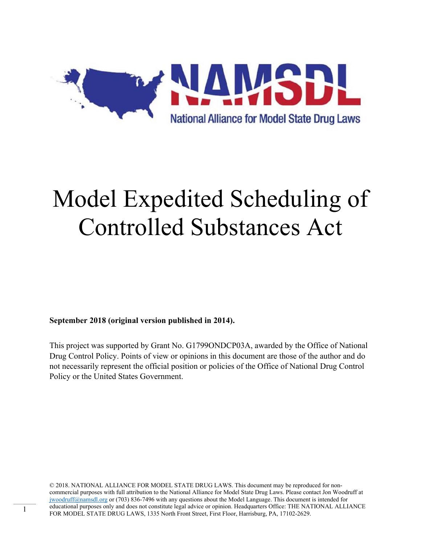

**September 2018 (original version published in 2014).** 

This project was supported by Grant No. G1799ONDCP03A, awarded by the Office of National Drug Control Policy. Points of view or opinions in this document are those of the author and do not necessarily represent the official position or policies of the Office of National Drug Control Policy or the United States Government.

© 2018. NATIONAL ALLIANCE FOR MODEL STATE DRUG LAWS. This document may be reproduced for noncommercial purposes with full attribution to the National Alliance for Model State Drug Laws. Please contact Jon Woodruff at jwoodruff@namsdl.org or (703) 836-7496 with any questions about the Model Language. This document is intended for educational purposes only and does not constitute legal advice or opinion. Headquarters Office: THE NATIONAL ALLIANCE FOR MODEL STATE DRUG LAWS, 1335 North Front Street, First Floor, Harrisburg, PA, 17102-2629.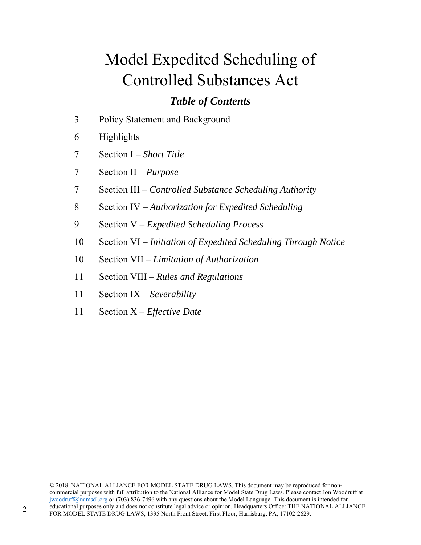### *Table of Contents*

- 3 Policy Statement and Background
- 6 Highlights
- 7 Section I *Short Title*
- 7 Section II *Purpose*
- 7 Section III *Controlled Substance Scheduling Authority*
- 8 Section IV *Authorization for Expedited Scheduling*
- 9 Section V *Expedited Scheduling Process*
- 10 Section VI *Initiation of Expedited Scheduling Through Notice*
- 10 Section VII *Limitation of Authorization*
- 11 Section VIII *Rules and Regulations*
- 11 Section IX *Severability*
- 11 Section X *Effective Date*

© 2018. NATIONAL ALLIANCE FOR MODEL STATE DRUG LAWS. This document may be reproduced for noncommercial purposes with full attribution to the National Alliance for Model State Drug Laws. Please contact Jon Woodruff at jwoodruff@namsdl.org or (703) 836-7496 with any questions about the Model Language. This document is intended for educational purposes only and does not constitute legal advice or opinion. Headquarters Office: THE NATIONAL ALLIANCE FOR MODEL STATE DRUG LAWS, 1335 North Front Street, First Floor, Harrisburg, PA, 17102-2629.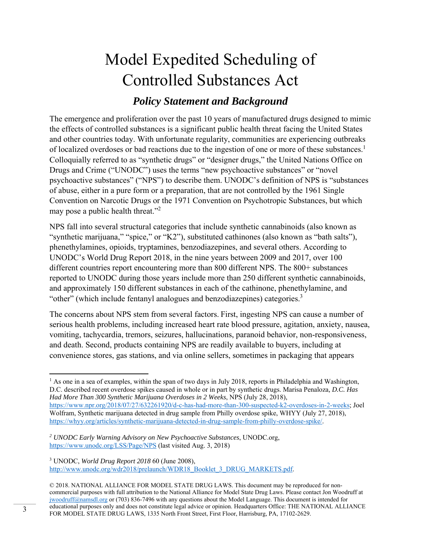### *Policy Statement and Background*

The emergence and proliferation over the past 10 years of manufactured drugs designed to mimic the effects of controlled substances is a significant public health threat facing the United States and other countries today. With unfortunate regularity, communities are experiencing outbreaks of localized overdoses or bad reactions due to the ingestion of one or more of these substances.<sup>1</sup> Colloquially referred to as "synthetic drugs" or "designer drugs," the United Nations Office on Drugs and Crime ("UNODC") uses the terms "new psychoactive substances" or "novel psychoactive substances" ("NPS") to describe them. UNODC's definition of NPS is "substances of abuse, either in a pure form or a preparation, that are not controlled by the 1961 Single Convention on Narcotic Drugs or the 1971 Convention on Psychotropic Substances, but which may pose a public health threat."<sup>2</sup>

NPS fall into several structural categories that include synthetic cannabinoids (also known as "synthetic marijuana," "spice," or "K2"), substituted cathinones (also known as "bath salts"), phenethylamines, opioids, tryptamines, benzodiazepines, and several others. According to UNODC's World Drug Report 2018, in the nine years between 2009 and 2017, over 100 different countries report encountering more than 800 different NPS. The 800+ substances reported to UNODC during those years include more than 250 different synthetic cannabinoids, and approximately 150 different substances in each of the cathinone, phenethylamine, and "other" (which include fentanyl analogues and benzodiazepines) categories.<sup>3</sup>

The concerns about NPS stem from several factors. First, ingesting NPS can cause a number of serious health problems, including increased heart rate blood pressure, agitation, anxiety, nausea, vomiting, tachycardia, tremors, seizures, hallucinations, paranoid behavior, non-responsiveness, and death. Second, products containing NPS are readily available to buyers, including at convenience stores, gas stations, and via online sellers, sometimes in packaging that appears

3 UNODC, *World Drug Report 2018* 60 (June 2008), http://www.unodc.org/wdr2018/prelaunch/WDR18\_Booklet\_3\_DRUG\_MARKETS.pdf.

  $<sup>1</sup>$  As one in a sea of examples, within the span of two days in July 2018, reports in Philadelphia and Washington,</sup> D.C. described recent overdose spikes caused in whole or in part by synthetic drugs. Marisa Penaloza*, D.C. Has Had More Than 300 Synthetic Marijuana Overdoses in 2 Weeks*, NPS (July 28, 2018), https://www.npr.org/2018/07/27/632261920/d-c-has-had-more-than-300-suspected-k2-overdoses-in-2-weeks; Joel Wolfram, Synthetic marijuana detected in drug sample from Philly overdose spike, WHYY (July 27, 2018), https://whyy.org/articles/synthetic-marijuana-detected-in-drug-sample-from-philly-overdose-spike/.

*<sup>2</sup> UNODC Early Warning Advisory on New Psychoactive Substances*, UNODC.org, https://www.unodc.org/LSS/Page/NPS (last visited Aug. 3, 2018)

<sup>© 2018.</sup> NATIONAL ALLIANCE FOR MODEL STATE DRUG LAWS. This document may be reproduced for noncommercial purposes with full attribution to the National Alliance for Model State Drug Laws. Please contact Jon Woodruff at jwoodruff@namsdl.org or (703) 836-7496 with any questions about the Model Language. This document is intended for educational purposes only and does not constitute legal advice or opinion. Headquarters Office: THE NATIONAL ALLIANCE FOR MODEL STATE DRUG LAWS, 1335 North Front Street, First Floor, Harrisburg, PA, 17102-2629.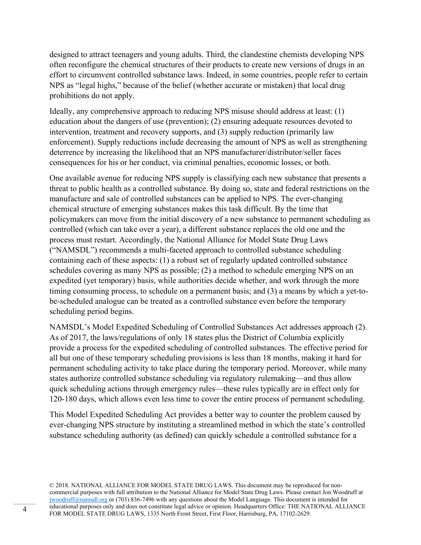designed to attract teenagers and young adults. Third, the clandestine chemists developing NPS often reconfigure the chemical structures of their products to create new versions of drugs in an effort to circumvent controlled substance laws. Indeed, in some countries, people refer to certain NPS as "legal highs," because of the belief (whether accurate or mistaken) that local drug prohibitions do not apply.

Ideally, any comprehensive approach to reducing NPS misuse should address at least: (1) education about the dangers of use (prevention); (2) ensuring adequate resources devoted to intervention, treatment and recovery supports, and (3) supply reduction (primarily law enforcement). Supply reductions include decreasing the amount of NPS as well as strengthening deterrence by increasing the likelihood that an NPS manufacturer/distributor/seller faces consequences for his or her conduct, via criminal penalties, economic losses, or both.

One available avenue for reducing NPS supply is classifying each new substance that presents a threat to public health as a controlled substance. By doing so, state and federal restrictions on the manufacture and sale of controlled substances can be applied to NPS. The ever-changing chemical structure of emerging substances makes this task difficult. By the time that policymakers can move from the initial discovery of a new substance to permanent scheduling as controlled (which can take over a year), a different substance replaces the old one and the process must restart. Accordingly, the National Alliance for Model State Drug Laws ("NAMSDL") recommends a multi-faceted approach to controlled substance scheduling containing each of these aspects: (1) a robust set of regularly updated controlled substance schedules covering as many NPS as possible; (2) a method to schedule emerging NPS on an expedited (yet temporary) basis, while authorities decide whether, and work through the more timing consuming process, to schedule on a permanent basis; and (3) a means by which a yet-tobe-scheduled analogue can be treated as a controlled substance even before the temporary scheduling period begins.

NAMSDL's Model Expedited Scheduling of Controlled Substances Act addresses approach (2). As of 2017, the laws/regulations of only 18 states plus the District of Columbia explicitly provide a process for the expedited scheduling of controlled substances. The effective period for all but one of these temporary scheduling provisions is less than 18 months, making it hard for permanent scheduling activity to take place during the temporary period. Moreover, while many states authorize controlled substance scheduling via regulatory rulemaking—and thus allow quick scheduling actions through emergency rules—these rules typically are in effect only for 120-180 days, which allows even less time to cover the entire process of permanent scheduling.

This Model Expedited Scheduling Act provides a better way to counter the problem caused by ever-changing NPS structure by instituting a streamlined method in which the state's controlled substance scheduling authority (as defined) can quickly schedule a controlled substance for a

© 2018. NATIONAL ALLIANCE FOR MODEL STATE DRUG LAWS. This document may be reproduced for noncommercial purposes with full attribution to the National Alliance for Model State Drug Laws. Please contact Jon Woodruff at jwoodruff@namsdl.org or (703) 836-7496 with any questions about the Model Language. This document is intended for educational purposes only and does not constitute legal advice or opinion. Headquarters Office: THE NATIONAL ALLIANCE 4 educational purposes only and does not constitute legal advice or opinion. Headquarters Office: 1 HE NA i<br>FOR MODEL STATE DRUG LAWS, 1335 North Front Street, First Floor, Harrisburg, PA, 17102-2629.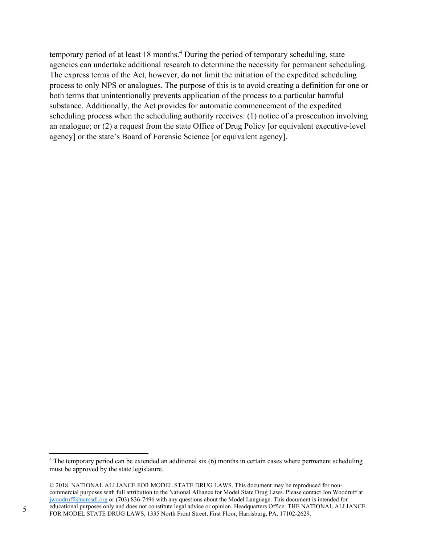temporary period of at least 18 months.<sup>4</sup> During the period of temporary scheduling, state agencies can undertake additional research to determine the necessity for permanent scheduling. The express terms of the Act, however, do not limit the initiation of the expedited scheduling process to only NPS or analogues. The purpose of this is to avoid creating a definition for one or both terms that unintentionally prevents application of the process to a particular harmful substance. Additionally, the Act provides for automatic commencement of the expedited scheduling process when the scheduling authority receives: (1) notice of a prosecution involving an analogue; or (2) a request from the state Office of Drug Policy [or equivalent executive-level agency] or the state's Board of Forensic Science [or equivalent agency].

<sup>&</sup>lt;sup>4</sup> The temporary period can be extended an additional six (6) months in certain cases where permanent scheduling must be approved by the state legislature.

<sup>© 2018.</sup> NATIONAL ALLIANCE FOR MODEL STATE DRUG LAWS. This document may be reproduced for noncommercial purposes with full attribution to the National Alliance for Model State Drug Laws. Please contact Jon Woodruff at jwoodruff@namsdl.org or (703) 836-7496 with any questions about the Model Language. This document is intended for educational purposes only and does not constitute legal advice or opinion. Headquarters Office: THE NATIONAL ALLIANCE FOR MODEL STATE DRUG LAWS, 1335 North Front Street, First Floor, Harrisburg, PA, 17102-2629.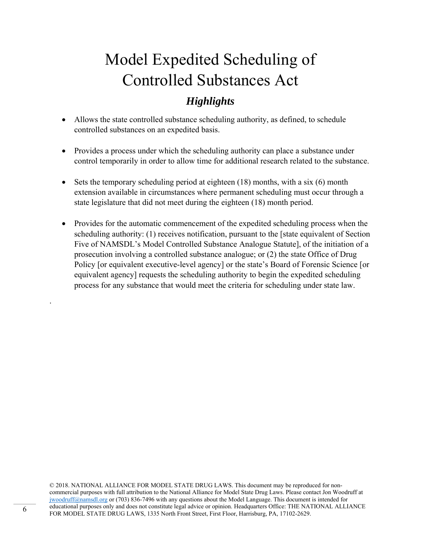### *Highlights*

- Allows the state controlled substance scheduling authority, as defined, to schedule controlled substances on an expedited basis.
- Provides a process under which the scheduling authority can place a substance under control temporarily in order to allow time for additional research related to the substance.
- Sets the temporary scheduling period at eighteen  $(18)$  months, with a six  $(6)$  month extension available in circumstances where permanent scheduling must occur through a state legislature that did not meet during the eighteen (18) month period.
- Provides for the automatic commencement of the expedited scheduling process when the scheduling authority: (1) receives notification, pursuant to the [state equivalent of Section Five of NAMSDL's Model Controlled Substance Analogue Statute], of the initiation of a prosecution involving a controlled substance analogue; or (2) the state Office of Drug Policy [or equivalent executive-level agency] or the state's Board of Forensic Science [or equivalent agency] requests the scheduling authority to begin the expedited scheduling process for any substance that would meet the criteria for scheduling under state law.

© 2018. NATIONAL ALLIANCE FOR MODEL STATE DRUG LAWS. This document may be reproduced for noncommercial purposes with full attribution to the National Alliance for Model State Drug Laws. Please contact Jon Woodruff at jwoodruff@namsdl.org or (703) 836-7496 with any questions about the Model Language. This document is intended for educational purposes only and does not constitute legal advice or opinion. Headquarters Office: THE NATIONAL ALLIANCE FOR MODEL STATE DRUG LAWS, 1335 North Front Street, First Floor, Harrisburg, PA, 17102-2629.

.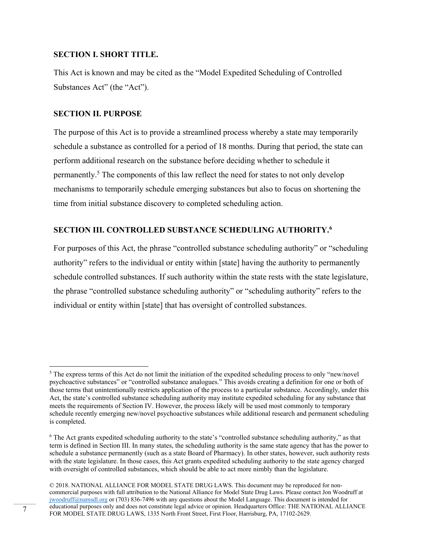#### **SECTION I. SHORT TITLE.**

This Act is known and may be cited as the "Model Expedited Scheduling of Controlled Substances Act" (the "Act").

#### **SECTION II. PURPOSE**

The purpose of this Act is to provide a streamlined process whereby a state may temporarily schedule a substance as controlled for a period of 18 months. During that period, the state can perform additional research on the substance before deciding whether to schedule it permanently.<sup>5</sup> The components of this law reflect the need for states to not only develop mechanisms to temporarily schedule emerging substances but also to focus on shortening the time from initial substance discovery to completed scheduling action.

#### **SECTION III. CONTROLLED SUBSTANCE SCHEDULING AUTHORITY.6**

For purposes of this Act, the phrase "controlled substance scheduling authority" or "scheduling authority" refers to the individual or entity within [state] having the authority to permanently schedule controlled substances. If such authority within the state rests with the state legislature, the phrase "controlled substance scheduling authority" or "scheduling authority" refers to the individual or entity within [state] that has oversight of controlled substances.

 $<sup>5</sup>$  The express terms of this Act do not limit the initiation of the expedited scheduling process to only "new/novel</sup> psychoactive substances" or "controlled substance analogues." This avoids creating a definition for one or both of those terms that unintentionally restricts application of the process to a particular substance. Accordingly, under this Act, the state's controlled substance scheduling authority may institute expedited scheduling for any substance that meets the requirements of Section IV. However, the process likely will be used most commonly to temporary schedule recently emerging new/novel psychoactive substances while additional research and permanent scheduling is completed.

<sup>&</sup>lt;sup>6</sup> The Act grants expedited scheduling authority to the state's "controlled substance scheduling authority," as that term is defined in Section III. In many states, the scheduling authority is the same state agency that has the power to schedule a substance permanently (such as a state Board of Pharmacy). In other states, however, such authority rests with the state legislature. In those cases, this Act grants expedited scheduling authority to the state agency charged with oversight of controlled substances, which should be able to act more nimbly than the legislature.

<sup>© 2018.</sup> NATIONAL ALLIANCE FOR MODEL STATE DRUG LAWS. This document may be reproduced for noncommercial purposes with full attribution to the National Alliance for Model State Drug Laws. Please contact Jon Woodruff at jwoodruff@namsdl.org or (703) 836-7496 with any questions about the Model Language. This document is intended for educational purposes only and does not constitute legal advice or opinion. Headquarters Office: THE NATIONAL ALLIANCE For equicational purposes only and does not constitute legal advice or opinion. Headquarters Office: THE NATE<br>FOR MODEL STATE DRUG LAWS, 1335 North Front Street, First Floor, Harrisburg, PA, 17102-2629.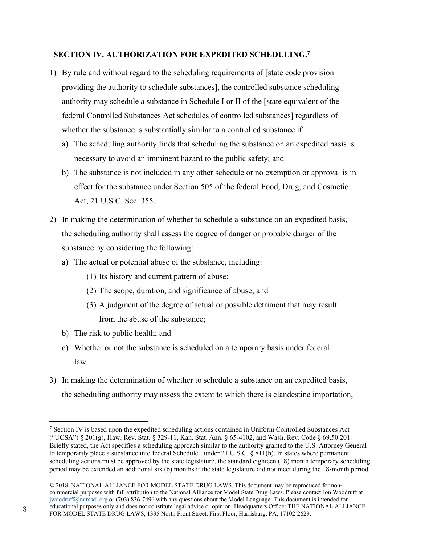#### **SECTION IV. AUTHORIZATION FOR EXPEDITED SCHEDULING.7**

- 1) By rule and without regard to the scheduling requirements of [state code provision providing the authority to schedule substances], the controlled substance scheduling authority may schedule a substance in Schedule I or II of the [state equivalent of the federal Controlled Substances Act schedules of controlled substances] regardless of whether the substance is substantially similar to a controlled substance if:
	- a) The scheduling authority finds that scheduling the substance on an expedited basis is necessary to avoid an imminent hazard to the public safety; and
	- b) The substance is not included in any other schedule or no exemption or approval is in effect for the substance under Section 505 of the federal Food, Drug, and Cosmetic Act, 21 U.S.C. Sec. 355.
- 2) In making the determination of whether to schedule a substance on an expedited basis, the scheduling authority shall assess the degree of danger or probable danger of the substance by considering the following:
	- a) The actual or potential abuse of the substance, including:
		- (1) Its history and current pattern of abuse;
		- (2) The scope, duration, and significance of abuse; and
		- (3) A judgment of the degree of actual or possible detriment that may result from the abuse of the substance;
	- b) The risk to public health; and

- c) Whether or not the substance is scheduled on a temporary basis under federal law.
- 3) In making the determination of whether to schedule a substance on an expedited basis, the scheduling authority may assess the extent to which there is clandestine importation,

<sup>7</sup> Section IV is based upon the expedited scheduling actions contained in Uniform Controlled Substances Act ("UCSA") § 201(g), Haw. Rev. Stat. § 329-11, Kan. Stat. Ann. § 65-4102, and Wash. Rev. Code § 69.50.201. Briefly stated, the Act specifies a scheduling approach similar to the authority granted to the U.S. Attorney General to temporarily place a substance into federal Schedule I under 21 U.S.C. § 811(h). In states where permanent scheduling actions must be approved by the state legislature, the standard eighteen (18) month temporary scheduling period may be extended an additional six (6) months if the state legislature did not meet during the 18-month period.

<sup>© 2018.</sup> NATIONAL ALLIANCE FOR MODEL STATE DRUG LAWS. This document may be reproduced for noncommercial purposes with full attribution to the National Alliance for Model State Drug Laws. Please contact Jon Woodruff at jwoodruff@namsdl.org or (703) 836-7496 with any questions about the Model Language. This document is intended for educational purposes only and does not constitute legal advice or opinion. Headquarters Office: THE NATIONAL ALLIANCE educational purposes only and does not constitute legal advice or opinion. Headquarters Office: THE NATE<br>FOR MODEL STATE DRUG LAWS, 1335 North Front Street, First Floor, Harrisburg, PA, 17102-2629.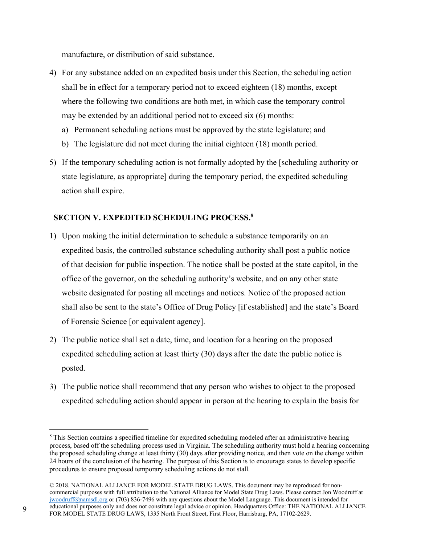manufacture, or distribution of said substance.

- 4) For any substance added on an expedited basis under this Section, the scheduling action shall be in effect for a temporary period not to exceed eighteen (18) months, except where the following two conditions are both met, in which case the temporary control may be extended by an additional period not to exceed six (6) months:
	- a) Permanent scheduling actions must be approved by the state legislature; and
	- b) The legislature did not meet during the initial eighteen (18) month period.
- 5) If the temporary scheduling action is not formally adopted by the [scheduling authority or state legislature, as appropriate] during the temporary period, the expedited scheduling action shall expire.

#### **SECTION V. EXPEDITED SCHEDULING PROCESS.8**

- 1) Upon making the initial determination to schedule a substance temporarily on an expedited basis, the controlled substance scheduling authority shall post a public notice of that decision for public inspection. The notice shall be posted at the state capitol, in the office of the governor, on the scheduling authority's website, and on any other state website designated for posting all meetings and notices. Notice of the proposed action shall also be sent to the state's Office of Drug Policy [if established] and the state's Board of Forensic Science [or equivalent agency].
- 2) The public notice shall set a date, time, and location for a hearing on the proposed expedited scheduling action at least thirty (30) days after the date the public notice is posted.
- 3) The public notice shall recommend that any person who wishes to object to the proposed expedited scheduling action should appear in person at the hearing to explain the basis for

<sup>&</sup>lt;sup>8</sup> This Section contains a specified timeline for expedited scheduling modeled after an administrative hearing process, based off the scheduling process used in Virginia. The scheduling authority must hold a hearing concerning the proposed scheduling change at least thirty (30) days after providing notice, and then vote on the change within 24 hours of the conclusion of the hearing. The purpose of this Section is to encourage states to develop specific procedures to ensure proposed temporary scheduling actions do not stall.

<sup>© 2018.</sup> NATIONAL ALLIANCE FOR MODEL STATE DRUG LAWS. This document may be reproduced for noncommercial purposes with full attribution to the National Alliance for Model State Drug Laws. Please contact Jon Woodruff at jwoodruff@namsdl.org or (703) 836-7496 with any questions about the Model Language. This document is intended for educational purposes only and does not constitute legal advice or opinion. Headquarters Office: THE NATIONAL ALLIANCE educational purposes only and does not constitute legal advice or opinion. Headquarters Office: THE NATE<br>FOR MODEL STATE DRUG LAWS, 1335 North Front Street, First Floor, Harrisburg, PA, 17102-2629.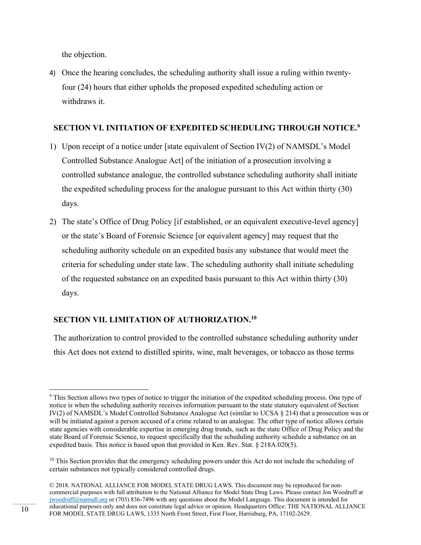the objection.

4) Once the hearing concludes, the scheduling authority shall issue a ruling within twentyfour (24) hours that either upholds the proposed expedited scheduling action or withdraws it.

#### **SECTION VI. INITIATION OF EXPEDITED SCHEDULING THROUGH NOTICE.9**

- 1) Upon receipt of a notice under [state equivalent of Section IV(2) of NAMSDL's Model Controlled Substance Analogue Act] of the initiation of a prosecution involving a controlled substance analogue, the controlled substance scheduling authority shall initiate the expedited scheduling process for the analogue pursuant to this Act within thirty (30) days.
- 2) The state's Office of Drug Policy [if established, or an equivalent executive-level agency] or the state's Board of Forensic Science [or equivalent agency] may request that the scheduling authority schedule on an expedited basis any substance that would meet the criteria for scheduling under state law. The scheduling authority shall initiate scheduling of the requested substance on an expedited basis pursuant to this Act within thirty (30) days.

#### **SECTION VII. LIMITATION OF AUTHORIZATION.10**

The authorization to control provided to the controlled substance scheduling authority under this Act does not extend to distilled spirits, wine, malt beverages, or tobacco as those terms

 <sup>9</sup> This Section allows two types of notice to trigger the initiation of the expedited scheduling process. One type of notice is when the scheduling authority receives information pursuant to the state statutory equivalent of Section IV(2) of NAMSDL's Model Controlled Substance Analogue Act (similar to UCSA § 214) that a prosecution was or will be initiated against a person accused of a crime related to an analogue. The other type of notice allows certain state agencies with considerable expertise in emerging drug trends, such as the state Office of Drug Policy and the state Board of Forensic Science, to request specifically that the scheduling authority schedule a substance on an expedited basis. This notice is based upon that provided in Ken. Rev. Stat. § 218A.020(5).

<sup>&</sup>lt;sup>10</sup> This Section provides that the emergency scheduling powers under this Act do not include the scheduling of certain substances not typically considered controlled drugs.

<sup>© 2018.</sup> NATIONAL ALLIANCE FOR MODEL STATE DRUG LAWS. This document may be reproduced for noncommercial purposes with full attribution to the National Alliance for Model State Drug Laws. Please contact Jon Woodruff at jwoodruff@namsdl.org or (703) 836-7496 with any questions about the Model Language. This document is intended for educational purposes only and does not constitute legal advice or opinion. Headquarters Office: THE NATIONAL ALLIANCE FOR MODEL STATE DRUG LAWS, 1335 North Front Street, First Floor, Harrisburg, PA, 17102-2629.